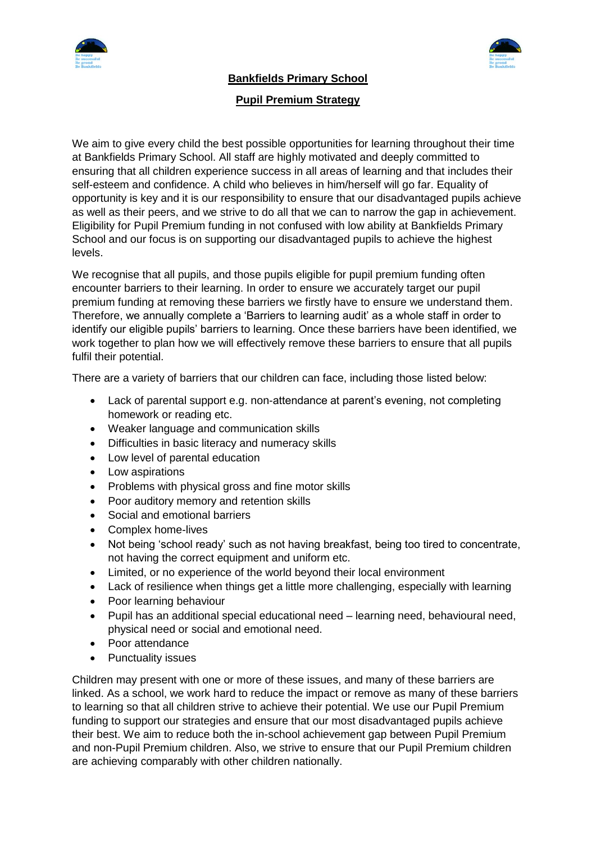



## **Bankfields Primary School**

## **Pupil Premium Strategy**

We aim to give every child the best possible opportunities for learning throughout their time at Bankfields Primary School. All staff are highly motivated and deeply committed to ensuring that all children experience success in all areas of learning and that includes their self-esteem and confidence. A child who believes in him/herself will go far. Equality of opportunity is key and it is our responsibility to ensure that our disadvantaged pupils achieve as well as their peers, and we strive to do all that we can to narrow the gap in achievement. Eligibility for Pupil Premium funding in not confused with low ability at Bankfields Primary School and our focus is on supporting our disadvantaged pupils to achieve the highest levels.

We recognise that all pupils, and those pupils eligible for pupil premium funding often encounter barriers to their learning. In order to ensure we accurately target our pupil premium funding at removing these barriers we firstly have to ensure we understand them. Therefore, we annually complete a 'Barriers to learning audit' as a whole staff in order to identify our eligible pupils' barriers to learning. Once these barriers have been identified, we work together to plan how we will effectively remove these barriers to ensure that all pupils fulfil their potential.

There are a variety of barriers that our children can face, including those listed below:

- Lack of parental support e.g. non-attendance at parent's evening, not completing homework or reading etc.
- Weaker language and communication skills
- Difficulties in basic literacy and numeracy skills
- Low level of parental education
- Low aspirations
- Problems with physical gross and fine motor skills
- Poor auditory memory and retention skills
- Social and emotional barriers
- Complex home-lives
- Not being 'school ready' such as not having breakfast, being too tired to concentrate, not having the correct equipment and uniform etc.
- Limited, or no experience of the world beyond their local environment
- Lack of resilience when things get a little more challenging, especially with learning
- Poor learning behaviour
- Pupil has an additional special educational need learning need, behavioural need, physical need or social and emotional need.
- Poor attendance
- Punctuality issues

Children may present with one or more of these issues, and many of these barriers are linked. As a school, we work hard to reduce the impact or remove as many of these barriers to learning so that all children strive to achieve their potential. We use our Pupil Premium funding to support our strategies and ensure that our most disadvantaged pupils achieve their best. We aim to reduce both the in-school achievement gap between Pupil Premium and non-Pupil Premium children. Also, we strive to ensure that our Pupil Premium children are achieving comparably with other children nationally.